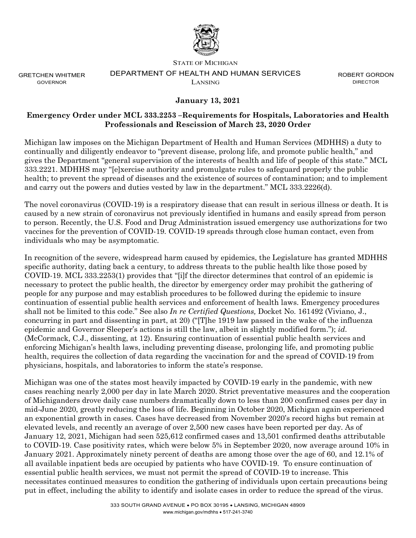

GRETCHEN WHITMER GOVERNOR

## STATE OF MICHIGAN DEPARTMENT OF HEALTH AND HUMAN SERVICES LANSING

ROBERT GORDON DIRECTOR

## **January 13, 2021**

## **Emergency Order under MCL 333.2253 –Requirements for Hospitals, Laboratories and Health Professionals and Rescission of March 23, 2020 Order**

Michigan law imposes on the Michigan Department of Health and Human Services (MDHHS) a duty to continually and diligently endeavor to "prevent disease, prolong life, and promote public health," and gives the Department "general supervision of the interests of health and life of people of this state." MCL 333.2221. MDHHS may "[e]xercise authority and promulgate rules to safeguard properly the public health; to prevent the spread of diseases and the existence of sources of contamination; and to implement and carry out the powers and duties vested by law in the department." MCL 333.2226(d).

The novel coronavirus (COVID-19) is a respiratory disease that can result in serious illness or death. It is caused by a new strain of coronavirus not previously identified in humans and easily spread from person to person. Recently, the U.S. Food and Drug Administration issued emergency use authorizations for two vaccines for the prevention of COVID-19. COVID-19 spreads through close human contact, even from individuals who may be asymptomatic.

In recognition of the severe, widespread harm caused by epidemics, the Legislature has granted MDHHS specific authority, dating back a century, to address threats to the public health like those posed by COVID-19. MCL 333.2253(1) provides that "[i]f the director determines that control of an epidemic is necessary to protect the public health, the director by emergency order may prohibit the gathering of people for any purpose and may establish procedures to be followed during the epidemic to insure continuation of essential public health services and enforcement of health laws. Emergency procedures shall not be limited to this code." See also *In re Certified Questions,* Docket No. 161492 (Viviano, J., concurring in part and dissenting in part, at 20) ("[T]he 1919 law passed in the wake of the influenza epidemic and Governor Sleeper's actions is still the law, albeit in slightly modified form."); *id*. (McCormack, C.J., dissenting, at 12). Ensuring continuation of essential public health services and enforcing Michigan's health laws, including preventing disease, prolonging life, and promoting public health, requires the collection of data regarding the vaccination for and the spread of COVID-19 from physicians, hospitals, and laboratories to inform the state's response.

Michigan was one of the states most heavily impacted by COVID-19 early in the pandemic, with new cases reaching nearly 2,000 per day in late March 2020. Strict preventative measures and the cooperation of Michiganders drove daily case numbers dramatically down to less than 200 confirmed cases per day in mid-June 2020, greatly reducing the loss of life. Beginning in October 2020, Michigan again experienced an exponential growth in cases. Cases have decreased from November 2020's record highs but remain at elevated levels, and recently an average of over 2,500 new cases have been reported per day. As of January 12, 2021, Michigan had seen 525,612 confirmed cases and 13,501 confirmed deaths attributable to COVID-19. Case positivity rates, which were below 5% in September 2020, now average around 10% in January 2021. Approximately ninety percent of deaths are among those over the age of 60, and 12.1% of all available inpatient beds are occupied by patients who have COVID-19. To ensure continuation of essential public health services, we must not permit the spread of COVID-19 to increase. This necessitates continued measures to condition the gathering of individuals upon certain precautions being put in effect, including the ability to identify and isolate cases in order to reduce the spread of the virus.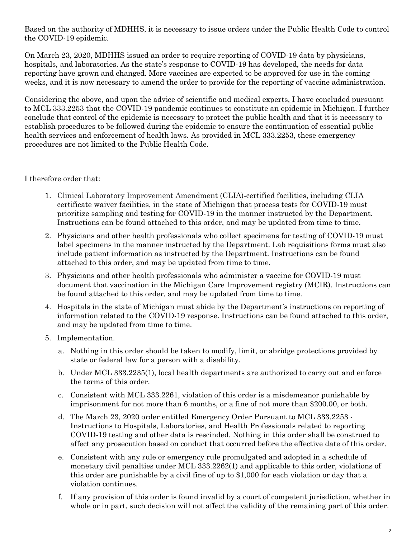Based on the authority of MDHHS, it is necessary to issue orders under the Public Health Code to control the COVID-19 epidemic.

On March 23, 2020, MDHHS issued an order to require reporting of COVID-19 data by physicians, hospitals, and laboratories. As the state's response to COVID-19 has developed, the needs for data reporting have grown and changed. More vaccines are expected to be approved for use in the coming weeks, and it is now necessary to amend the order to provide for the reporting of vaccine administration.

Considering the above, and upon the advice of scientific and medical experts, I have concluded pursuant to MCL 333.2253 that the COVID-19 pandemic continues to constitute an epidemic in Michigan. I further conclude that control of the epidemic is necessary to protect the public health and that it is necessary to establish procedures to be followed during the epidemic to ensure the continuation of essential public health services and enforcement of health laws. As provided in MCL 333.2253, these emergency procedures are not limited to the Public Health Code.

I therefore order that:

- 1. Clinical Laboratory Improvement Amendment (CLIA)-certified facilities, including CLIA certificate waiver facilities, in the state of Michigan that process tests for COVID-19 must prioritize sampling and testing for COVID-19 in the manner instructed by the Department. Instructions can be found attached to this order, and may be updated from time to time.
- 2. Physicians and other health professionals who collect specimens for testing of COVID-19 must label specimens in the manner instructed by the Department. Lab requisitions forms must also include patient information as instructed by the Department. Instructions can be found attached to this order, and may be updated from time to time.
- 3. Physicians and other health professionals who administer a vaccine for COVID-19 must document that vaccination in the Michigan Care Improvement registry (MCIR). Instructions can be found attached to this order, and may be updated from time to time.
- 4. Hospitals in the state of Michigan must abide by the Department's instructions on reporting of information related to the COVID-19 response. Instructions can be found attached to this order, and may be updated from time to time.
- 5. Implementation.
	- a. Nothing in this order should be taken to modify, limit, or abridge protections provided by state or federal law for a person with a disability.
	- b. Under MCL 333.2235(1), local health departments are authorized to carry out and enforce the terms of this order.
	- c. Consistent with MCL 333.2261, violation of this order is a misdemeanor punishable by imprisonment for not more than 6 months, or a fine of not more than \$200.00, or both.
	- d. The March 23, 2020 order entitled Emergency Order Pursuant to MCL 333.2253 Instructions to Hospitals, Laboratories, and Health Professionals related to reporting COVID-19 testing and other data is rescinded. Nothing in this order shall be construed to affect any prosecution based on conduct that occurred before the effective date of this order.
	- e. Consistent with any rule or emergency rule promulgated and adopted in a schedule of monetary civil penalties under MCL 333.2262(1) and applicable to this order, violations of this order are punishable by a civil fine of up to \$1,000 for each violation or day that a violation continues.
	- f. If any provision of this order is found invalid by a court of competent jurisdiction, whether in whole or in part, such decision will not affect the validity of the remaining part of this order.